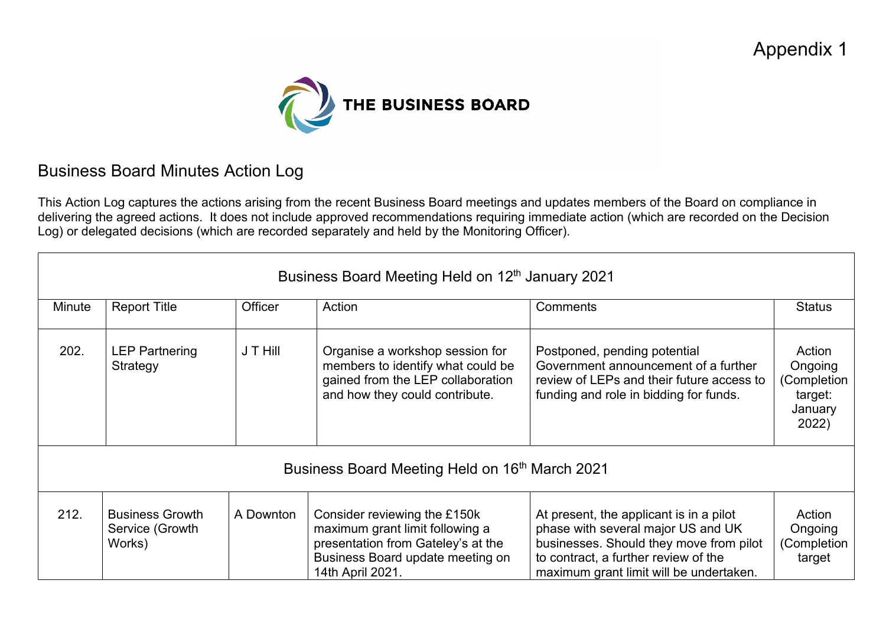

## Business Board Minutes Action Log

This Action Log captures the actions arising from the recent Business Board meetings and updates members of the Board on compliance in delivering the agreed actions. It does not include approved recommendations requiring immediate action (which are recorded on the Decision Log) or delegated decisions (which are recorded separately and held by the Monitoring Officer).

| Business Board Meeting Held on 12 <sup>th</sup> January 2021 |                                                     |           |                                                                                                                                                               |                                                                                                                                                                                                             |                                                                 |  |
|--------------------------------------------------------------|-----------------------------------------------------|-----------|---------------------------------------------------------------------------------------------------------------------------------------------------------------|-------------------------------------------------------------------------------------------------------------------------------------------------------------------------------------------------------------|-----------------------------------------------------------------|--|
| <b>Minute</b>                                                | <b>Report Title</b>                                 | Officer   | Action                                                                                                                                                        | Comments                                                                                                                                                                                                    | <b>Status</b>                                                   |  |
| 202.                                                         | <b>LEP Partnering</b><br>Strategy                   | J T Hill  | Organise a workshop session for<br>members to identify what could be<br>gained from the LEP collaboration<br>and how they could contribute.                   | Postponed, pending potential<br>Government announcement of a further<br>review of LEPs and their future access to<br>funding and role in bidding for funds.                                                 | Action<br>Ongoing<br>(Completion<br>target:<br>January<br>2022) |  |
| Business Board Meeting Held on 16 <sup>th</sup> March 2021   |                                                     |           |                                                                                                                                                               |                                                                                                                                                                                                             |                                                                 |  |
| 212.                                                         | <b>Business Growth</b><br>Service (Growth<br>Works) | A Downton | Consider reviewing the £150k<br>maximum grant limit following a<br>presentation from Gateley's at the<br>Business Board update meeting on<br>14th April 2021. | At present, the applicant is in a pilot<br>phase with several major US and UK<br>businesses. Should they move from pilot<br>to contract, a further review of the<br>maximum grant limit will be undertaken. | Action<br>Ongoing<br>(Completion<br>target                      |  |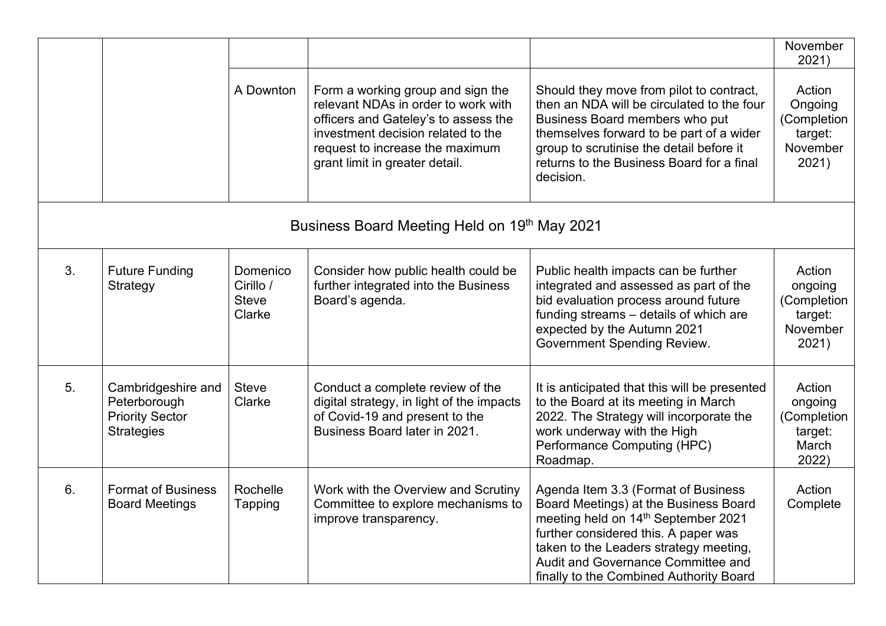|                |                                                                                   |                                                 |                                                                                                                                                                                                                             |                                                                                                                                                                                                                                                                                        | November<br>2021)                                                |
|----------------|-----------------------------------------------------------------------------------|-------------------------------------------------|-----------------------------------------------------------------------------------------------------------------------------------------------------------------------------------------------------------------------------|----------------------------------------------------------------------------------------------------------------------------------------------------------------------------------------------------------------------------------------------------------------------------------------|------------------------------------------------------------------|
|                |                                                                                   | A Downton                                       | Form a working group and sign the<br>relevant NDAs in order to work with<br>officers and Gateley's to assess the<br>investment decision related to the<br>request to increase the maximum<br>grant limit in greater detail. | Should they move from pilot to contract,<br>then an NDA will be circulated to the four<br>Business Board members who put<br>themselves forward to be part of a wider<br>group to scrutinise the detail before it<br>returns to the Business Board for a final<br>decision.             | Action<br>Ongoing<br>(Completion<br>target:<br>November<br>2021) |
|                |                                                                                   |                                                 | Business Board Meeting Held on 19th May 2021                                                                                                                                                                                |                                                                                                                                                                                                                                                                                        |                                                                  |
| 3.             | <b>Future Funding</b><br>Strategy                                                 | Domenico<br>Cirillo /<br><b>Steve</b><br>Clarke | Consider how public health could be<br>further integrated into the Business<br>Board's agenda.                                                                                                                              | Public health impacts can be further<br>integrated and assessed as part of the<br>bid evaluation process around future<br>funding streams - details of which are<br>expected by the Autumn 2021<br><b>Government Spending Review.</b>                                                  | Action<br>ongoing<br>(Completion<br>target:<br>November<br>2021) |
| 5 <sub>1</sub> | Cambridgeshire and<br>Peterborough<br><b>Priority Sector</b><br><b>Strategies</b> | <b>Steve</b><br>Clarke                          | Conduct a complete review of the<br>digital strategy, in light of the impacts<br>of Covid-19 and present to the<br>Business Board later in 2021.                                                                            | It is anticipated that this will be presented<br>to the Board at its meeting in March<br>2022. The Strategy will incorporate the<br>work underway with the High<br>Performance Computing (HPC)<br>Roadmap.                                                                             | Action<br>ongoing<br>(Completion<br>target:<br>March<br>2022)    |
| 6.             | <b>Format of Business</b><br><b>Board Meetings</b>                                | Rochelle<br>Tapping                             | Work with the Overview and Scrutiny<br>Committee to explore mechanisms to<br>improve transparency.                                                                                                                          | Agenda Item 3.3 (Format of Business<br>Board Meetings) at the Business Board<br>meeting held on 14th September 2021<br>further considered this. A paper was<br>taken to the Leaders strategy meeting,<br>Audit and Governance Committee and<br>finally to the Combined Authority Board | Action<br>Complete                                               |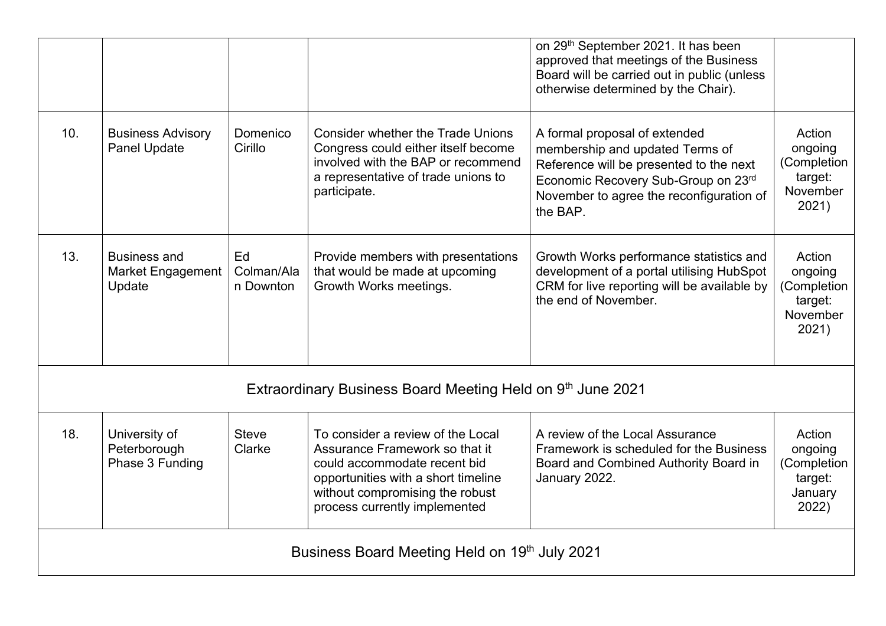|                                               |                                                            |                               |                                                                                                                                                                                                                | on 29 <sup>th</sup> September 2021. It has been<br>approved that meetings of the Business<br>Board will be carried out in public (unless<br>otherwise determined by the Chair).                            |                                                                  |  |  |  |
|-----------------------------------------------|------------------------------------------------------------|-------------------------------|----------------------------------------------------------------------------------------------------------------------------------------------------------------------------------------------------------------|------------------------------------------------------------------------------------------------------------------------------------------------------------------------------------------------------------|------------------------------------------------------------------|--|--|--|
| 10.                                           | <b>Business Advisory</b><br><b>Panel Update</b>            | Domenico<br>Cirillo           | <b>Consider whether the Trade Unions</b><br>Congress could either itself become<br>involved with the BAP or recommend<br>a representative of trade unions to<br>participate.                                   | A formal proposal of extended<br>membership and updated Terms of<br>Reference will be presented to the next<br>Economic Recovery Sub-Group on 23rd<br>November to agree the reconfiguration of<br>the BAP. | Action<br>ongoing<br>(Completion<br>target:<br>November<br>2021) |  |  |  |
| 13.                                           | <b>Business and</b><br><b>Market Engagement</b><br>Update  | Ed<br>Colman/Ala<br>n Downton | Provide members with presentations<br>that would be made at upcoming<br>Growth Works meetings.                                                                                                                 | Growth Works performance statistics and<br>development of a portal utilising HubSpot<br>CRM for live reporting will be available by<br>the end of November.                                                | Action<br>ongoing<br>(Completion<br>target:<br>November<br>2021) |  |  |  |
|                                               | Extraordinary Business Board Meeting Held on 9th June 2021 |                               |                                                                                                                                                                                                                |                                                                                                                                                                                                            |                                                                  |  |  |  |
| 18.                                           | University of<br>Peterborough<br>Phase 3 Funding           | <b>Steve</b><br>Clarke        | To consider a review of the Local<br>Assurance Framework so that it<br>could accommodate recent bid<br>opportunities with a short timeline<br>without compromising the robust<br>process currently implemented | A review of the Local Assurance<br>Framework is scheduled for the Business<br>Board and Combined Authority Board in<br>January 2022.                                                                       | Action<br>ongoing<br>(Completion<br>target:<br>January<br>2022)  |  |  |  |
| Business Board Meeting Held on 19th July 2021 |                                                            |                               |                                                                                                                                                                                                                |                                                                                                                                                                                                            |                                                                  |  |  |  |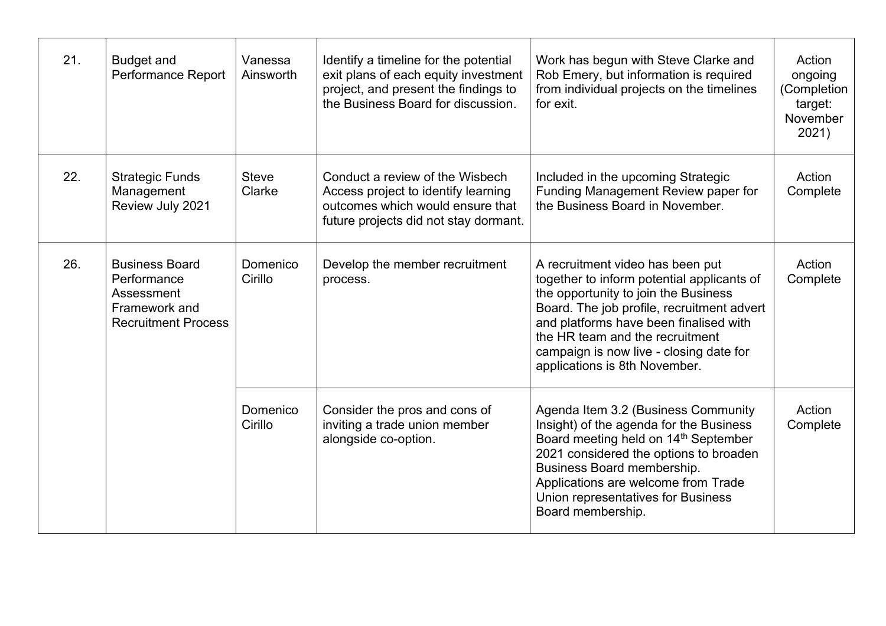| 21. | <b>Budget and</b><br>Performance Report                                                           | Vanessa<br>Ainsworth   | Identify a timeline for the potential<br>exit plans of each equity investment<br>project, and present the findings to<br>the Business Board for discussion. | Work has begun with Steve Clarke and<br>Rob Emery, but information is required<br>from individual projects on the timelines<br>for exit.                                                                                                                                                                                      | Action<br>ongoing<br>(Completion<br>target:<br>November<br>2021) |
|-----|---------------------------------------------------------------------------------------------------|------------------------|-------------------------------------------------------------------------------------------------------------------------------------------------------------|-------------------------------------------------------------------------------------------------------------------------------------------------------------------------------------------------------------------------------------------------------------------------------------------------------------------------------|------------------------------------------------------------------|
| 22. | <b>Strategic Funds</b><br>Management<br>Review July 2021                                          | <b>Steve</b><br>Clarke | Conduct a review of the Wisbech<br>Access project to identify learning<br>outcomes which would ensure that<br>future projects did not stay dormant.         | Included in the upcoming Strategic<br>Funding Management Review paper for<br>the Business Board in November.                                                                                                                                                                                                                  | Action<br>Complete                                               |
| 26. | <b>Business Board</b><br>Performance<br>Assessment<br>Framework and<br><b>Recruitment Process</b> | Domenico<br>Cirillo    | Develop the member recruitment<br>process.                                                                                                                  | A recruitment video has been put<br>together to inform potential applicants of<br>the opportunity to join the Business<br>Board. The job profile, recruitment advert<br>and platforms have been finalised with<br>the HR team and the recruitment<br>campaign is now live - closing date for<br>applications is 8th November. | Action<br>Complete<br>Action<br>Complete                         |
|     |                                                                                                   | Domenico<br>Cirillo    | Consider the pros and cons of<br>inviting a trade union member<br>alongside co-option.                                                                      | Agenda Item 3.2 (Business Community<br>Insight) of the agenda for the Business<br>Board meeting held on 14 <sup>th</sup> September<br>2021 considered the options to broaden<br>Business Board membership.<br>Applications are welcome from Trade<br>Union representatives for Business<br>Board membership.                  |                                                                  |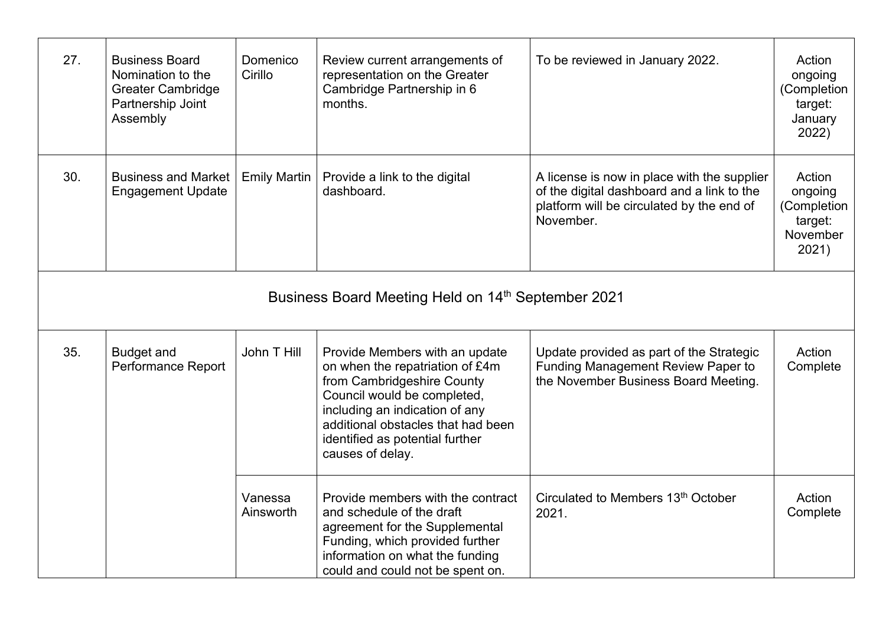| 27. | <b>Business Board</b><br>Nomination to the<br><b>Greater Cambridge</b><br>Partnership Joint<br>Assembly | Domenico<br>Cirillo  | Review current arrangements of<br>representation on the Greater<br>Cambridge Partnership in 6<br>months.                                                                                                                                                      | To be reviewed in January 2022.                                                                                                                     | Action<br>ongoing<br>(Completion<br>target:<br>January<br>2022)  |  |  |  |
|-----|---------------------------------------------------------------------------------------------------------|----------------------|---------------------------------------------------------------------------------------------------------------------------------------------------------------------------------------------------------------------------------------------------------------|-----------------------------------------------------------------------------------------------------------------------------------------------------|------------------------------------------------------------------|--|--|--|
| 30. | <b>Business and Market</b><br><b>Engagement Update</b>                                                  | <b>Emily Martin</b>  | Provide a link to the digital<br>dashboard.                                                                                                                                                                                                                   | A license is now in place with the supplier<br>of the digital dashboard and a link to the<br>platform will be circulated by the end of<br>November. | Action<br>ongoing<br>(Completion<br>target:<br>November<br>2021) |  |  |  |
|     | Business Board Meeting Held on 14 <sup>th</sup> September 2021                                          |                      |                                                                                                                                                                                                                                                               |                                                                                                                                                     |                                                                  |  |  |  |
| 35. | <b>Budget and</b><br><b>Performance Report</b>                                                          | John T Hill          | Provide Members with an update<br>on when the repatriation of £4m<br>from Cambridgeshire County<br>Council would be completed,<br>including an indication of any<br>additional obstacles that had been<br>identified as potential further<br>causes of delay. | Update provided as part of the Strategic<br><b>Funding Management Review Paper to</b><br>the November Business Board Meeting.                       | Action<br>Complete                                               |  |  |  |
|     |                                                                                                         | Vanessa<br>Ainsworth | Provide members with the contract<br>and schedule of the draft<br>agreement for the Supplemental<br>Funding, which provided further<br>information on what the funding<br>could and could not be spent on.                                                    | Circulated to Members 13th October<br>2021.                                                                                                         | Action<br>Complete                                               |  |  |  |